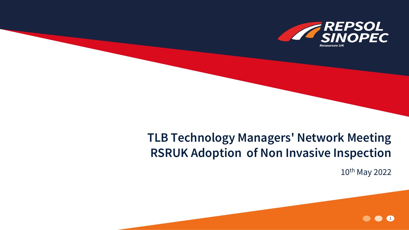

## **TLB Technology Managers' Network Meeting RSRUK Adoption of Non Invasive Inspection**

10th May 2022

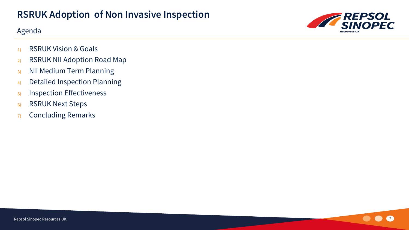#### Agenda



- 1) RSRUK Vision & Goals
- 2) RSRUK NII Adoption Road Map
- 3) NII Medium Term Planning
- 4) Detailed Inspection Planning
- 5) Inspection Effectiveness
- 6) RSRUK Next Steps
- 7) Concluding Remarks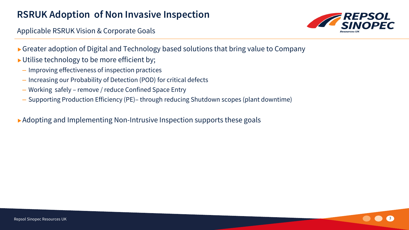Applicable RSRUK Vision & Corporate Goals



- ► Greater adoption of Digital and Technology based solutions that bring value to Company
- ▶ Utilise technology to be more efficient by;
	- Improving effectiveness of inspection practices
	- Increasing our Probability of Detection (POD) for critical defects
	- Working safely remove / reduce Confined Space Entry
	- Supporting Production Efficiency (PE)– through reducing Shutdown scopes (plant downtime)

▶ Adopting and Implementing Non-Intrusive Inspection supports these goals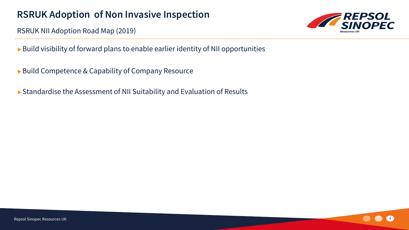RSRUK NII Adoption Road Map (2019)

- Build visibility of forward plans to enable earlier identity of NII opportunities
- ▶ Build Competence & Capability of Company Resource
- Standardise the Assessment of NII Suitability and Evaluation of Results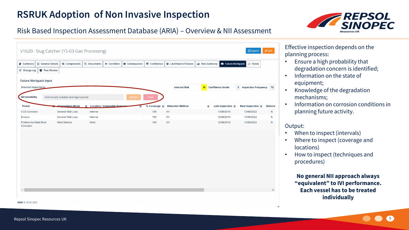

#### Risk Based Inspection Assessment Database (ARIA) – Overview & NII Assessment

|                                            | <b>B</b> General Details<br>o <sup>8</sup> Components | <sup>2</sup> Documents<br><b>● Condition</b> | <b>O</b> Consequence    | Confidence          | <b>O</b> Likelihood of Failure |          | <b>ML Risk Summary E</b> Future Workpack | <b>P</b> Notes                |                 |
|--------------------------------------------|-------------------------------------------------------|----------------------------------------------|-------------------------|---------------------|--------------------------------|----------|------------------------------------------|-------------------------------|-----------------|
| 상 Peer Review<br>C Change Log              |                                                       |                                              |                         |                     |                                |          |                                          |                               |                 |
| <b>Future Workpack Input</b>               |                                                       |                                              |                         |                     |                                |          |                                          |                               |                 |
| <b>Internal Inspections</b>                |                                                       |                                              |                         |                     | <b>Internal Risk</b>           | M        | <b>Confidence Grade</b>                  | <b>3</b> Inspection Frequency | 72              |
| <b>NII Suitability</b>                     | Intrinsically Suitable and Appropriate                |                                              | <b>Details</b><br>Clear |                     |                                |          |                                          |                               |                 |
| <b>Threat</b>                              | <b>Degradation Mode</b>                               | E Location / Vulnerable Features             | Ξ                       | % Coverage $\equiv$ | <b>Detection Method</b>        | $\equiv$ | Last Inspection $\equiv$                 | Next Inspection $\equiv$      | <b>Deferral</b> |
| <b>CO2 Corrosion</b>                       | <b>General Wall Loss</b>                              | Internal                                     |                         | 100<br><b>IVI</b>   |                                |          | 13/06/2016                               | 13/06/2022                    | N               |
| Erosion                                    | <b>General Wall Loss</b>                              | Internal                                     |                         | 100<br><b>IVI</b>   |                                |          | 12/06/2016                               | 13/06/2022                    | N               |
| <b>Preferential Weld Root</b><br>Corrosion | <b>Weld Defects</b>                                   | Weld                                         |                         | 100<br><b>IVI</b>   |                                |          | 12/06/2016                               | 13/06/2022                    | N               |
|                                            |                                                       |                                              |                         |                     |                                |          |                                          |                               |                 |
|                                            |                                                       |                                              |                         |                     |                                |          |                                          |                               |                 |
|                                            |                                                       |                                              |                         |                     |                                |          |                                          |                               |                 |
|                                            |                                                       |                                              |                         |                     |                                |          |                                          |                               |                 |
|                                            |                                                       |                                              |                         |                     |                                |          |                                          |                               |                 |
|                                            |                                                       |                                              |                         |                     |                                |          |                                          |                               |                 |
|                                            |                                                       |                                              |                         |                     |                                |          |                                          |                               |                 |
|                                            |                                                       |                                              |                         |                     |                                |          |                                          |                               |                 |
|                                            |                                                       |                                              |                         |                     |                                |          |                                          |                               |                 |
|                                            |                                                       |                                              |                         |                     |                                |          |                                          |                               |                 |

Effective inspection depends on the planning process:

- Ensure a high probability that degradation concern is identified;
- Information on the state of equipment;
- Knowledge of the degradation mechanisms;
- Information on corrosion conditions in planning future activity.

#### Output:

- When to inspect (intervals)
- Where to inspect (coverage and locations)
- How to inspect (techniques and procedures)

**No general NII approach always "equivalent" to IVI performance. Each vessel has to be treated individually**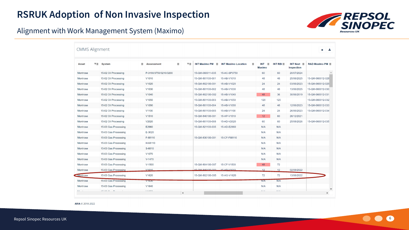

#### Alignment with Work Management System (Maximo)

| Asset           | $\overline{z}$ System | $\equiv$ | Assessment            | $\equiv$<br>₹≣ | INT Maximo PM $\equiv$ | $\equiv$<br><b>INT Maximo Location</b> | $INT \equiv$<br><b>Maximo</b> | INT RBI $\equiv$ | INT Next $\equiv$<br><b>Inspection</b> | RAD Maximo PM $\equiv$ |
|-----------------|-----------------------|----------|-----------------------|----------------|------------------------|----------------------------------------|-------------------------------|------------------|----------------------------------------|------------------------|
| Montrose        | 15-02 Oil Processing  |          | P-3190/3750/3210/3200 |                | 15-QM-060011-035       | 15-AC-SP3750                           | 60                            | 60               | 20/07/2024                             |                        |
| <b>Montrose</b> | 15-02 Oil Processing  |          | V1010                 |                | 15-QM-801100-001       | 15-AB-V1010                            | 48                            | 48               | 25/06/2025                             | 15-QM-060012-028       |
| Montrose        | 15-02 Oil Processing  |          | V1020                 |                | 15-QM-802100-001       | 15-AB-V1020                            | 24                            | 24               | 03/06/2023                             | 15-QM-060012-029       |
| <b>Montrose</b> | 15-02 Oil Processing  |          | V1030                 |                | 15-QM-801100-002       | 15-AB-V1030                            | 48                            | 48               | 13/06/2025                             | 15-QM-060012-030       |
| <b>Montrose</b> | 15-02 Oil Processing  |          | V1040                 |                | 15-QM-802100-002       | 15-AB-V1040                            | 48                            | 36               | 30/06/2019                             | 15-QM-060012-031       |
| Montrose        | 15-02 Oil Processing  |          | V <sub>1050</sub>     |                | 15-QM-801100-003       | 15-AB-V1050                            | 120                           | 120              |                                        | 15-QM-060012-032       |
| Montrose        | 15-02 Oil Processing  |          | V1090                 |                | 15-QM-801100-004       | 15-AB-V1090                            | 48                            | 48               | 12/06/2023                             | 15-QM-060012-033       |
| <b>Montrose</b> | 15-02 Oil Processing  |          | V1100                 |                | 15-QM-801100-005       | 15-AB-V1100                            | 24                            | 24               | 26/06/2023                             | 15-QM-060012-034       |
| Montrose        | 15-02 Oil Processing  |          | V <sub>1510</sub>     |                | 15-QM-840100-001       | 15-AP-V1510                            | 12 <sup>2</sup>               | 60               | 26/12/2021                             |                        |
| Montrose        | 15-02 Oil Processing  |          | V2020                 |                | 15-QM-801100-008       | 15-AD-V2020                            | 60                            | 60               | 25/08/2026                             | 15-QM-060012-035       |
| Montrose        | 15-03 Gas Processing  |          | E2960                 |                | 15-QM-821100-035       | 15-AD-E2960                            | N/A                           | N/A              |                                        |                        |
| <b>Montrose</b> | 15-03 Gas Processing  |          | E-3020                |                |                        |                                        | N/A                           | N/A              |                                        |                        |
| Montrose        | 15-03 Gas Processing  |          | F-68110               |                | 15-QM-830100-001       | 15-CF-F68110                           | N/A                           | N/A              |                                        |                        |
| <b>Montrose</b> | 15-03 Gas Processing  |          | H-68110               |                |                        |                                        | N/A                           | N/A              |                                        |                        |
| <b>Montrose</b> | 15-03 Gas Processing  |          | S-6810                |                |                        |                                        | N/A                           | N/A              |                                        |                        |
| Montrose        | 15-03 Gas Processing  |          | V <sub>1070</sub>     |                |                        |                                        | N/A                           | N/A              |                                        |                        |
| Montrose        | 15-03 Gas Processing  |          | $V-1470$              |                |                        |                                        | N/A                           | N/A              |                                        |                        |
| <b>Montrose</b> | 15-03 Gas Processing  |          | $V - 1500$            |                | 15-QM-804100-007       | 15-CF-V1500                            | 48                            | 72               |                                        |                        |
| <b>Montrose</b> | 15-03 Gas Processing  |          | V <sub>1610</sub>     |                | 15-04-840100-003       | 15.4P <sub>1</sub> /1610               | 12                            | 12               | 02/08/2022                             |                        |
| <b>Montrose</b> | 15-03 Gas Processing  |          | V1620                 |                | 15-QM-802100-005       | 15-AG-V1620                            | 72                            | 72               | 13/06/2022                             |                        |
| Montrose        | 15-03 Gas Processing  |          | <b>V1630</b>          |                |                        |                                        | N/A                           | N/A              |                                        |                        |

ARIA © 2018-2022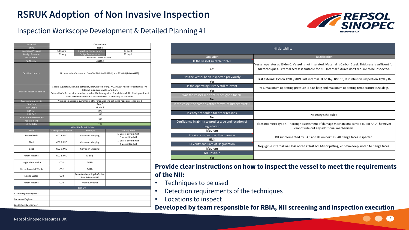# *REPSOL<br>SINOPEC*

#### Inspection Workscope Development & Detailed Planning #1

| Material                        | Carbon Steel                                                                                                                                                                                                                                                                                                     |                                                |                                                                                    |  |  |  |  |  |
|---------------------------------|------------------------------------------------------------------------------------------------------------------------------------------------------------------------------------------------------------------------------------------------------------------------------------------------------------------|------------------------------------------------|------------------------------------------------------------------------------------|--|--|--|--|--|
| Lining                          | None                                                                                                                                                                                                                                                                                                             |                                                |                                                                                    |  |  |  |  |  |
| <b>Operating Pressure</b>       | 5.65barg                                                                                                                                                                                                                                                                                                         | <b>Operating Temperature</b>                   | 13 deg C                                                                           |  |  |  |  |  |
| <b>Design Pressure</b>          | 17.2barg                                                                                                                                                                                                                                                                                                         | 93 deg C                                       |                                                                                    |  |  |  |  |  |
| P+ID Number                     | MAPG-L-0040-010-D-AD00                                                                                                                                                                                                                                                                                           |                                                |                                                                                    |  |  |  |  |  |
| <b>GA Number</b>                | A21653                                                                                                                                                                                                                                                                                                           |                                                |                                                                                    |  |  |  |  |  |
| Details of defects              | No internal defects noted from 2016 IVI (MON02149) and 2010 IVI (MON00937).                                                                                                                                                                                                                                      |                                                |                                                                                    |  |  |  |  |  |
| Details of Historical defects   | Saddle supports with Cat B corrosion, likewise to bolting. WO2990314 raised for corrective FM.<br>Internal in an acceptable condition.<br>Externally Cat B corrosion noted on nozzles K1AB along with 12mm blister @ 10 o'clock position of<br>shell west side which was descaled with UT revealing no concerns. |                                                |                                                                                    |  |  |  |  |  |
| <b>Access requirements</b>      |                                                                                                                                                                                                                                                                                                                  |                                                | No specific access requirements other than working at height, rope access required |  |  |  |  |  |
| CRA Type                        |                                                                                                                                                                                                                                                                                                                  | Type 3                                         |                                                                                    |  |  |  |  |  |
| <b>RBA Grade</b>                |                                                                                                                                                                                                                                                                                                                  | Grade 2                                        |                                                                                    |  |  |  |  |  |
| <b>RBA PoF</b>                  |                                                                                                                                                                                                                                                                                                                  | Low                                            |                                                                                    |  |  |  |  |  |
| <b>RBA CoF</b>                  |                                                                                                                                                                                                                                                                                                                  | High                                           |                                                                                    |  |  |  |  |  |
| <b>Inspection effectiveness</b> |                                                                                                                                                                                                                                                                                                                  | High                                           |                                                                                    |  |  |  |  |  |
| requirement                     |                                                                                                                                                                                                                                                                                                                  |                                                |                                                                                    |  |  |  |  |  |
| NII Suitable                    |                                                                                                                                                                                                                                                                                                                  | Yes                                            |                                                                                    |  |  |  |  |  |
| Zone                            | Damage Mechanism                                                                                                                                                                                                                                                                                                 | <b>Inspection Requirement</b><br>Technique     | <b>Priority Areas</b>                                                              |  |  |  |  |  |
|                                 |                                                                                                                                                                                                                                                                                                                  |                                                | 1. Vessel bottom half                                                              |  |  |  |  |  |
| Domed Ends                      | <b>CO2 &amp; MIC</b>                                                                                                                                                                                                                                                                                             | <b>Corrosion Mapping</b>                       | 2. Vessel top half                                                                 |  |  |  |  |  |
| Shell                           | <b>CO2 &amp; MIC</b>                                                                                                                                                                                                                                                                                             | <b>Corrosion Mapping</b>                       | 1. Vessel bottom half<br>2. Vessel top half                                        |  |  |  |  |  |
| Boot                            | <b>CO2 &amp; MIC</b>                                                                                                                                                                                                                                                                                             | <b>Corrosion Mapping</b>                       |                                                                                    |  |  |  |  |  |
| Parent Material                 | <b>CO2 &amp; MIC</b>                                                                                                                                                                                                                                                                                             | M-Skip                                         |                                                                                    |  |  |  |  |  |
| Longitudinal Welds              | CO <sub>2</sub>                                                                                                                                                                                                                                                                                                  | <b>TOFD</b>                                    |                                                                                    |  |  |  |  |  |
| Circumferential Welds           | CO <sub>2</sub>                                                                                                                                                                                                                                                                                                  | <b>TOFD</b>                                    |                                                                                    |  |  |  |  |  |
| Nozzle Welds                    | CO <sub>2</sub>                                                                                                                                                                                                                                                                                                  | Corrosion Mapping/RAD/Line<br>Scan & Manual UT |                                                                                    |  |  |  |  |  |
| Parent Material                 | CO <sub>2</sub>                                                                                                                                                                                                                                                                                                  | Phased Array UT                                |                                                                                    |  |  |  |  |  |
|                                 |                                                                                                                                                                                                                                                                                                                  | Sign Off                                       |                                                                                    |  |  |  |  |  |
| Asset Integrity Engineer        |                                                                                                                                                                                                                                                                                                                  |                                                |                                                                                    |  |  |  |  |  |
| <b>Corrosion Engineer</b>       |                                                                                                                                                                                                                                                                                                                  |                                                |                                                                                    |  |  |  |  |  |
| Lead Integrity Engineer         |                                                                                                                                                                                                                                                                                                                  |                                                |                                                                                    |  |  |  |  |  |

|                                                                                | <b>NII Suitability</b>                                                                                                                                                                                             |
|--------------------------------------------------------------------------------|--------------------------------------------------------------------------------------------------------------------------------------------------------------------------------------------------------------------|
| Question                                                                       | Justification                                                                                                                                                                                                      |
| Is the vessel suitable for NII                                                 |                                                                                                                                                                                                                    |
| Yes                                                                            | Vessel operates at 13 degC. Vessel is not insulated. Material is Carbon Steel. Thickness is sufficent for<br>NII techniques. External access is suitable for NII. Internal fixtures don't require to be inspected. |
| Has the vessel been inspected previously<br>Yes                                | Last external CVI on 12/06/2019, last internal UT on 07/08/2016, last intrusive inspection 12/06/16                                                                                                                |
| Is the operating History still relevant<br>Yes                                 | Yes, maximum operating pressure is 5.65 barg and maximum operating temperature is 93 degC                                                                                                                          |
| Was the vessel specifically designed for NII                                   |                                                                                                                                                                                                                    |
| <b>No</b>                                                                      |                                                                                                                                                                                                                    |
| Is the vessel the same as other for which history exists?                      |                                                                                                                                                                                                                    |
| Is entry scheduled for other reasons<br><b>No</b>                              | No entry scheduled                                                                                                                                                                                                 |
| Confidence in ability to predict type and location of<br>degradation<br>Medium | does not meet Type 4, Thorough assessment of damage mechanisms carried out in ARIA, however<br>cannot rule out any additional mechanisms.                                                                          |
| Previous inspection Effectiveness<br>High                                      | IVI supplemented by RAD and UT on nozzles. All flange faces inspected.                                                                                                                                             |
| Severity and Rate of Degradation<br>Medium                                     | Negligible internal wall loss noted at last IVI. Minor pitting, <0.5mm deep, noted to flange faces.                                                                                                                |
| <b>NII Possible</b>                                                            |                                                                                                                                                                                                                    |
| Yes                                                                            |                                                                                                                                                                                                                    |

#### **Provide clear instructions on how to inspect the vessel to meet the requirements of the NII:**

- Techniques to be used
- Detection requirements of the techniques
- Locations to inspect

#### **Developed by team responsible for RBIA, NII screening and inspection execution**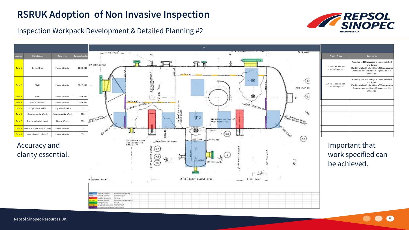

Inspection Workpack Development & Detailed Planning #2

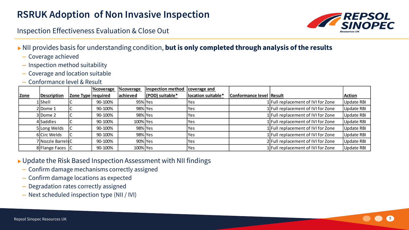Inspection Effectiveness Evaluation & Close Out

- NII provides basis for understanding condition, **but is only completed through analysis of the results**
	- Coverage achieved
	- Inspection method suitability
	- Coverage and location suitable
	- Conformance level & Result

|      |                    |                    | <b>%coverage</b> | <b>%coverage</b> | inspection method | coverage and       |                                 |                                    |               |
|------|--------------------|--------------------|------------------|------------------|-------------------|--------------------|---------------------------------|------------------------------------|---------------|
| Zone | Description        | Zone Type required |                  | achieved         | (POD) suitable*   | location suitable* | <b>Conformance level Result</b> |                                    | <b>Action</b> |
|      | 1Shell             |                    | 90-100%          | 95% Yes          |                   | Yes                |                                 | 1 Full replacement of IVI for Zone | Update RBI    |
|      | $2$ Dome 1         |                    | 90-100%          | 98% Yes          |                   | Yes                |                                 | 1 Full replacement of IVI for Zone | Update RBI    |
|      | $3$ Dome 2         |                    | 90-100%          | 98% Yes          |                   | lYes               |                                 | 1 Full replacement of IVI for Zone | Update RBI    |
|      | 4 Saddles          |                    | 90-100%          | 100% Yes         |                   | Yes                |                                 | 1 Full replacement of IVI for Zone | Update RBI    |
|      | 5 Long Welds       |                    | 90-100%          | 98% Yes          |                   | Yes                |                                 | 1 Full replacement of IVI for Zone | Update RBI    |
|      | 6 Circ Welds       |                    | 90-100%          | 98% Yes          |                   | Yes                |                                 | 1 Full replacement of IVI for Zone | Update RBI    |
|      | 7 Nozzle Barrels C |                    | 90-100%          | 90% Yes          |                   | lYes               |                                 | 2 Full replacement of IVI for Zone | Update RBI    |
|      | 8 Flange Faces     |                    | 90-100%          | 100% Yes         |                   | Yes                |                                 | 1 Full replacement of IVI for Zone | Update RBI    |

▶ Update the Risk Based Inspection Assessment with NII findings

- Confirm damage mechanisms correctly assigned
- Confirm damage locations as expected
- Degradation rates correctly assigned
- Next scheduled inspection type (NII / IVI)